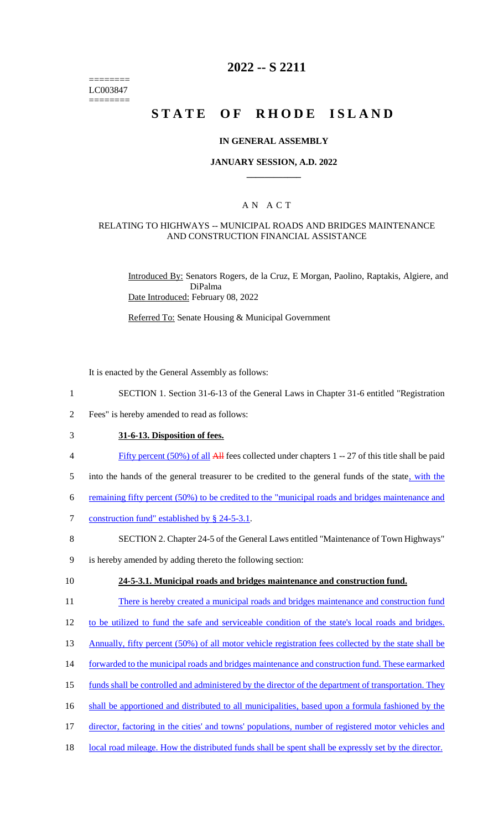======== LC003847 ========

# **2022 -- S 2211**

# **STATE OF RHODE ISLAND**

#### **IN GENERAL ASSEMBLY**

#### **JANUARY SESSION, A.D. 2022 \_\_\_\_\_\_\_\_\_\_\_\_**

### A N A C T

#### RELATING TO HIGHWAYS -- MUNICIPAL ROADS AND BRIDGES MAINTENANCE AND CONSTRUCTION FINANCIAL ASSISTANCE

Introduced By: Senators Rogers, de la Cruz, E Morgan, Paolino, Raptakis, Algiere, and DiPalma Date Introduced: February 08, 2022

Referred To: Senate Housing & Municipal Government

It is enacted by the General Assembly as follows:

- 1 SECTION 1. Section 31-6-13 of the General Laws in Chapter 31-6 entitled "Registration
- 2 Fees" is hereby amended to read as follows:
- 3 **31-6-13. Disposition of fees.**
- 4 Fifty percent (50%) of all All fees collected under chapters 1 -- 27 of this title shall be paid
- 5 into the hands of the general treasurer to be credited to the general funds of the state, with the
- 6 remaining fifty percent (50%) to be credited to the "municipal roads and bridges maintenance and
- 7 construction fund" established by § 24-5-3.1.
- 8 SECTION 2. Chapter 24-5 of the General Laws entitled "Maintenance of Town Highways"

9 is hereby amended by adding thereto the following section:

#### 10 **24-5-3.1. Municipal roads and bridges maintenance and construction fund.**

- 11 There is hereby created a municipal roads and bridges maintenance and construction fund
- 12 to be utilized to fund the safe and serviceable condition of the state's local roads and bridges.
- 13 Annually, fifty percent (50%) of all motor vehicle registration fees collected by the state shall be
- 14 forwarded to the municipal roads and bridges maintenance and construction fund. These earmarked
- 15 funds shall be controlled and administered by the director of the department of transportation. They
- 16 shall be apportioned and distributed to all municipalities, based upon a formula fashioned by the
- 17 director, factoring in the cities' and towns' populations, number of registered motor vehicles and
- 18 local road mileage. How the distributed funds shall be spent shall be expressly set by the director.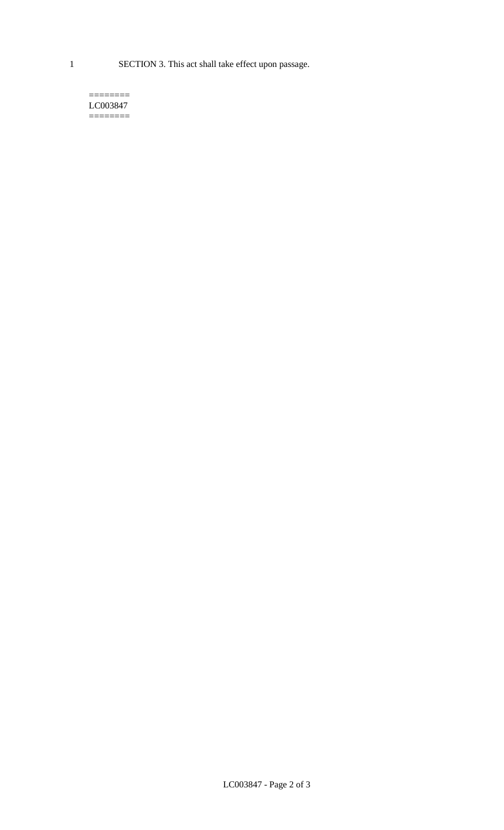1 SECTION 3. This act shall take effect upon passage.

 $=$ LC003847  $=$